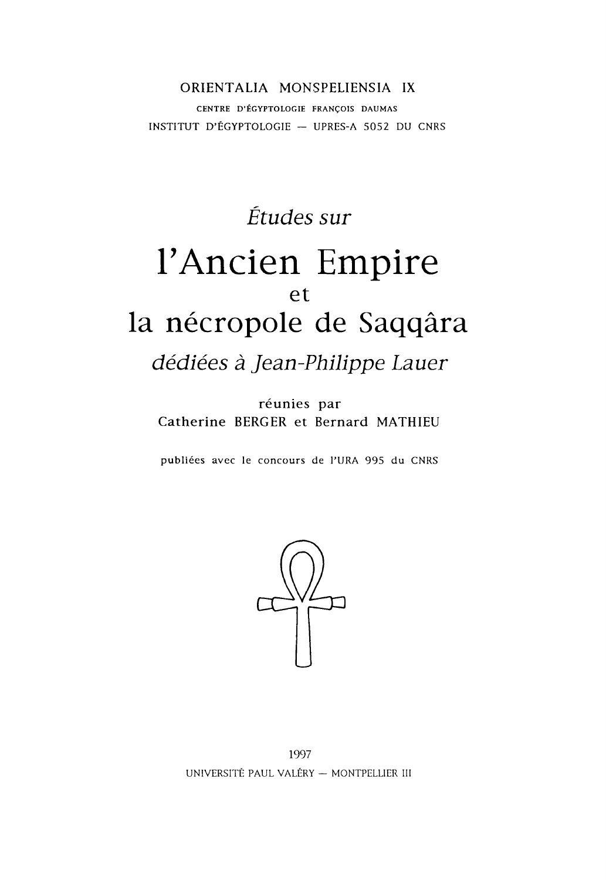### ORIENTALIA MONSPELIENSIA IX CENTRE D'ÉGYPTOLOGIE FRANÇOIS DAUMAS INSTITUT D' ÉGYPTOLOGIE — UPRES-A 5052 DU CNRS

# *Études sur* I'Ancien Empire et la nécropole de Saqqâra

*dédiées à Jean-Philippe Lauer*

réunies par Catherine BERGER et Bernard MATHIEU

publiées avec le concours de l'URA 995 du CNRS



1997 UNIVERSITÉ PAUL VALERY — MONTPELLIER III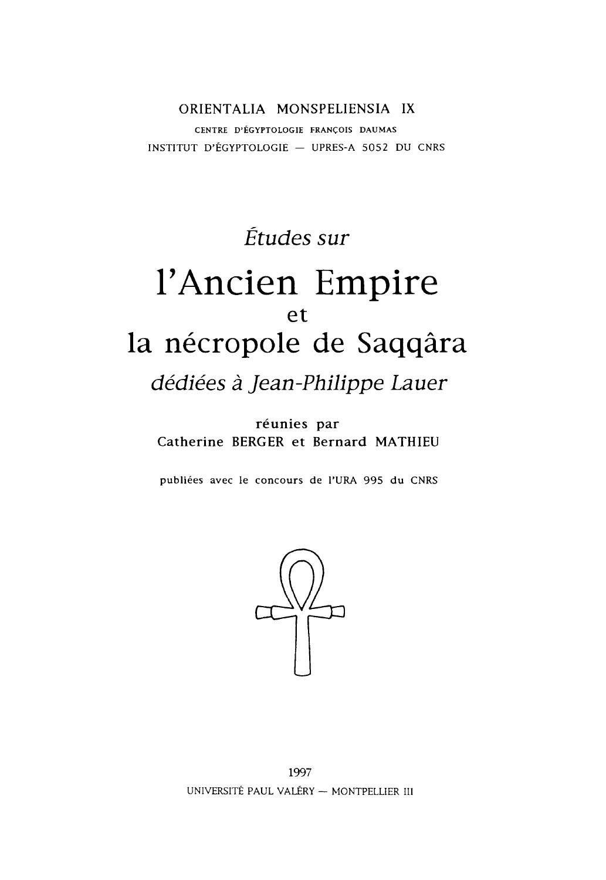ORIENTALIA MONSPELIENSIA IX CENTRE D'ÉGYPTOLOGIE FRANÇOIS DAUMAS INSTITUT D'ÉGYPTOLOGIE - UPRES-A 5052 DU CNRS

# *Études sur* I'Ancien Empire et la nécropole de Saqqâra

*dédiées à Jean-Philippe Lauer*

réunies par Catherine BERGER et Bernard MATHIEU

publiées avec le concours de l'URA 995 du CNRS

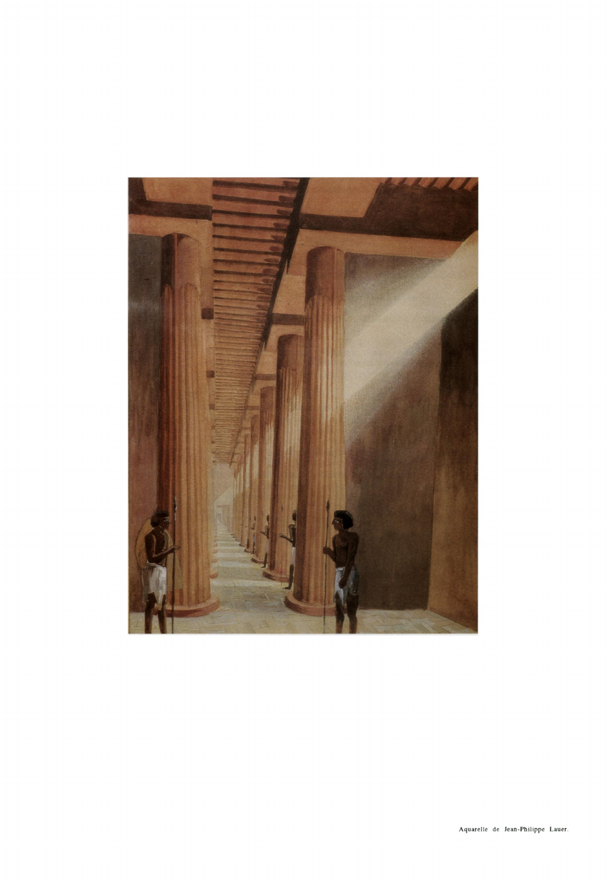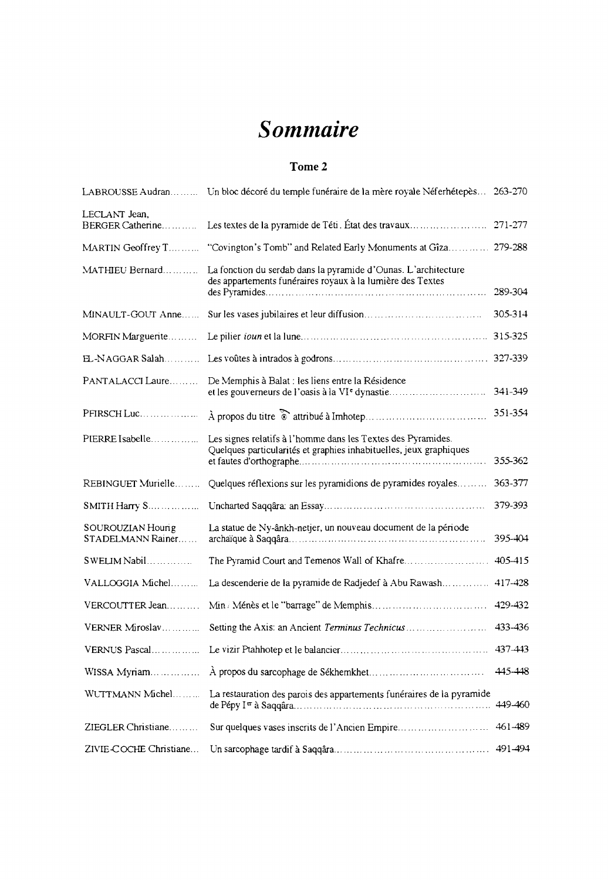## *Sommaire*

### **Tome 2**

|                                        | LABROUSSE Audran Un bloc décoré du temple funéraire de la mère royale Néferhétepès 263-270                                         |         |
|----------------------------------------|------------------------------------------------------------------------------------------------------------------------------------|---------|
| LECLANT Jean,<br>BERGER Catherine      | Les textes de la pyramide de Téti. État des travaux                                                                                | 271-277 |
| MARTIN Geoffrey T                      | "Covington's Tomb" and Related Early Monuments at Gîza 279-288                                                                     |         |
| MATHIEU Bernard                        | La fonction du serdab dans la pyramide d'Ounas. L'architecture<br>des appartements funéraires royaux à la lumière des Textes       | 289-304 |
| MINAULT-GOUT Anne                      |                                                                                                                                    | 305-314 |
| MORFIN Marguerite                      |                                                                                                                                    | 315-325 |
| EL-NAGGAR Salah                        |                                                                                                                                    | 327-339 |
| PANTALACCI Laure                       | De Memphis à Balat : les liens entre la Résidence<br>et les gouverneurs de l'oasis à la VI <sup>e</sup> dynastie                   | 341-349 |
| PFIRSCH Luc                            |                                                                                                                                    | 351-354 |
| PIERRE Isabelle                        | Les signes relatifs à l'homme dans les Textes des Pyramides.<br>Quelques particularités et graphies inhabituelles, jeux graphiques | 355-362 |
| REBINGUET Murielle                     | Quelques réflexions sur les pyramidions de pyramides royales                                                                       | 363-377 |
| SMITH Harry S                          |                                                                                                                                    | 379-393 |
| SOUROUZIAN Hourig<br>STADELMANN Rainer | La statue de Ny-ânkh-netjer, un nouveau document de la période                                                                     | 395-404 |
| SWELIM Nabil                           |                                                                                                                                    | 405-415 |
| VALLOGGIA Michel                       | La descenderie de la pyramide de Radjedef à Abu Rawash                                                                             | 417-428 |
| VERCOUTTER Jean                        |                                                                                                                                    | 429-432 |
| VERNER Miroslav                        | Setting the Axis: an Ancient Terminus Technicus                                                                                    | 433-436 |
| VERNUS Pascal                          |                                                                                                                                    | 437-443 |
| WISSA Myriam                           |                                                                                                                                    | 445-448 |
| WUTTMANN Michel                        | La restauration des parois des appartements funéraires de la pyramide                                                              | 449-460 |
| ZIEGLER Christiane                     | Sur quelques vases inscrits de l'Ancien Empire                                                                                     | 461-489 |
| ZIVIE-COCHE Christiane                 |                                                                                                                                    | 491-494 |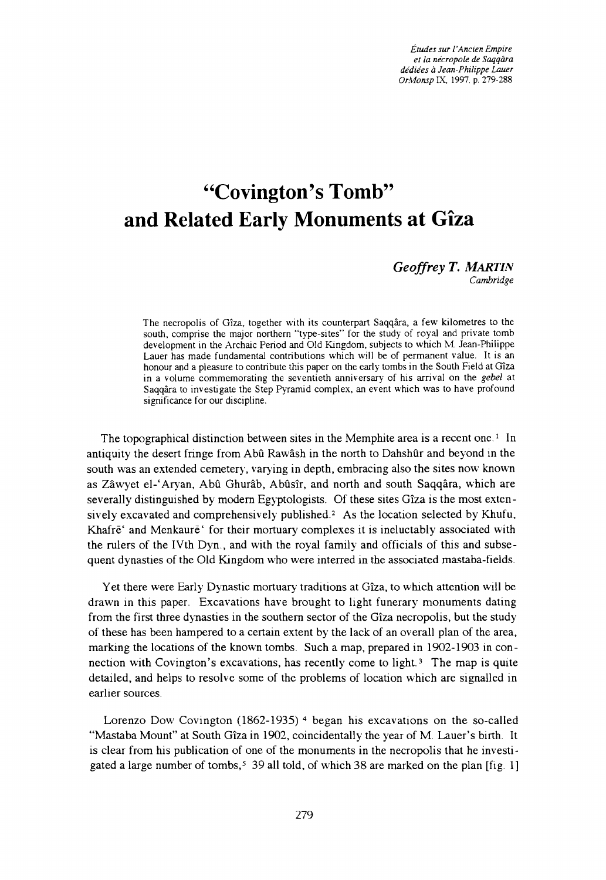*Études sur I'Ancien Empire et la nécropole de Saqqâra dédiées à Jean-Philippe Lauer OrMonsp* IX, 1997, p. 279-288

## **"Covington's Tomb" and Related Early Monuments at Giza**

#### *G eoffrey T. MARTIN Cambridge*

**The necropolis of Gîza, together with its counterpart Saqqâra, a few kilometres to the** south, comprise the major northern "type-sites" for the study of royal and private tomb **development in the Archaic Period and Old Kingdom, subjects to which M. Jean-Philippe Lauer has made fundamental contributions which will be of permanent value. It is an honour and a pleasure to contribute this paper on the early tombs in the South Field at Gîza in a volume commemorating the seventieth anniversary of his arrival on the** *gebel* **at Saqqâra to investigate the Step Pyramid complex, an event which was to have profound significance for our discipline.**

The topographical distinction between sites in the Memphite area is a recent one.<sup>1</sup> In antiquity the desert fringe from Abû Rawash in the north to Dahshûr and beyond in the south was an extended cemetery, varying in depth, embracing also the sites now known as Zâwyet el-' Aryan, Abû Ghurâb, Abûsîr, and north and south Saqqâra, which are severally distinguished by modem Egyptologists. Of these sites Gîza is the most extensively excavated and comprehensively published.2 As the location selected by Khufu, Khafre<sup>'</sup> and Menkaure<sup>'</sup> for their mortuary complexes it is ineluctably associated with the rulers of the IVth Dyn., and with the royal family and officials of this and subsequent dynasties of the Old Kingdom who were interred in the associated mastaba-fields.

Yet there were Early Dynastic mortuary traditions at Gîza, to which attention will be drawn in this paper. Excavations have brought to light funerary monuments dating from the first three dynasties in the southern sector of the Gîza necropolis, but the study of these has been hampered to a certain extent by the lack of an overall plan of the area, marking the locations of the known tombs. Such a map, prepared in 1902-1903 in connection with Covington's excavations, has recently come to light.3 The map is quite detailed, and helps to resolve some of the problems of location which are signalled in earlier sources.

Lorenzo Dow Covington  $(1862-1935)$ <sup>4</sup> began his excavations on the so-called "Mastaba Mount" at South Gîza in 1902, coincidentally the year of M. Lauer's birth. It is clear from his publication of one of the monuments in the necropolis that he investigated a large number of tombs,<sup>5</sup> 39 all told, of which 38 are marked on the plan [fig. 1]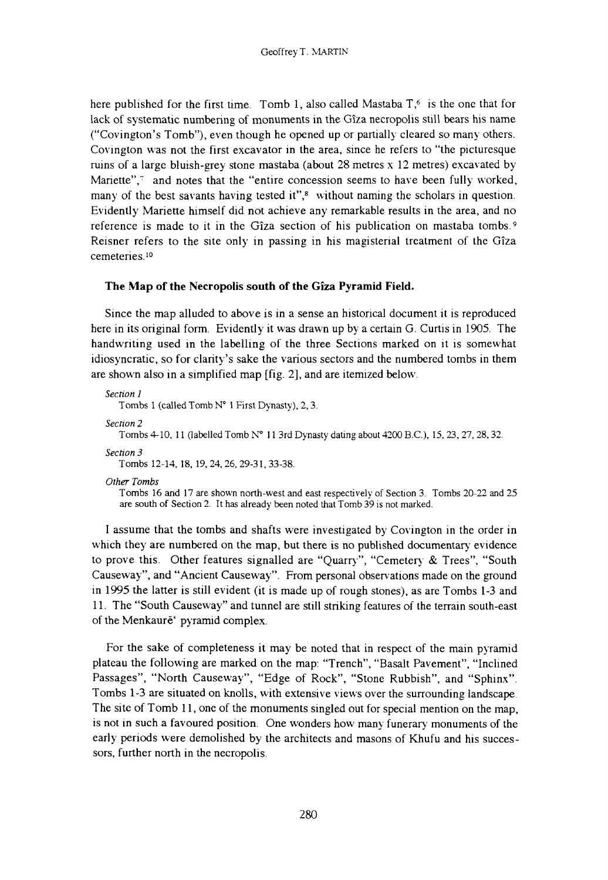here published for the first time. Tomb 1, also called Mastaba  $T<sub>6</sub>$  is the one that for lack of systematic numbering of monuments in the Gîza necropolis still bears his name ("Covington's Tomb"), even though he opened up or partially cleared so many others. Covington was not the first excavator in the area, since he refers to "the picturesque ruins of a large bluish-grey stone mastaba (about  $28$  metres  $x$  12 metres) excavated by Mariette",<sup>7</sup> and notes that the "entire concession seems to have been fully worked, many of the best savants having tested it",<sup>8</sup> without naming the scholars in question. Evidently Mariette himself did not achieve any remarkable results in the area, and no reference is made to it in the Gîza section of his publication on mastaba tombs.9 Reisner refers to the site only in passing in his magisterial treatment of the Gîza cemeteries.10

#### **The Map of the Necropolis south of the Gîza Pyramid Field.**

Since the map alluded to above is in a sense an historical document it is reproduced here in its original form. Evidently it was drawn up by a certain G. Curtis in 1905. The handwriting used in the labelling of the three Sections marked on it is somewhat idiosyncratic, so for clarity's sake the various sectors and the numbered tombs in them are shown also in a simplified map [fig. 2], and are itemized below.

```
Section 1
  Tombs 1 (called Tomb N° 1 First Dynasty), 2, 3.
Section 2
  Tombs 4-10, 11 (labelled Tomb N° 11 3rd Dynasty dating about 4200 B.C.), 15, 23, 27, 28, 32.
Section 3
   Tombs 12-14, 18, 19, 24, 26, 29-31, 33-38.
Other Tombs
   Tombs 16 and 17 are shown north-west and east respectively of Section 3. Tombs 20-22 and 25
   are south of Section 2. It has already been noted that Tomb 39 is not marked.
```
I assume that the tombs and shafts were investigated by Covington in the order in which they are numbered on the map, but there is no published documentary evidence to prove this. Other features signalled are "Quarry", "Cemetery & Trees", "South Causeway", and "Ancient Causeway". From personal observations made on the ground in 1995 the latter is still evident (it is made up of rough stones), as are Tombs 1-3 and 11. The "South Causeway" and tunnel are still striking features of the terrain south-east of the Menkaure' pyramid complex.

For the sake of completeness it may be noted that in respect of the main pyramid plateau the following are marked on the map: "Trench", "Basalt Pavement", "Inclined Passages", "North Causeway", "Edge of Rock", "Stone Rubbish", and "Sphinx". Tombs 1-3 are situated on knolls, with extensive views over the surrounding landscape. The site of Tomb 11, one of the monuments singled out for special mention on the map, is not in such a favoured position. One wonders how many funerary monuments of the early periods were demolished by the architects and masons of Khufu and his successors, further north in the necropolis.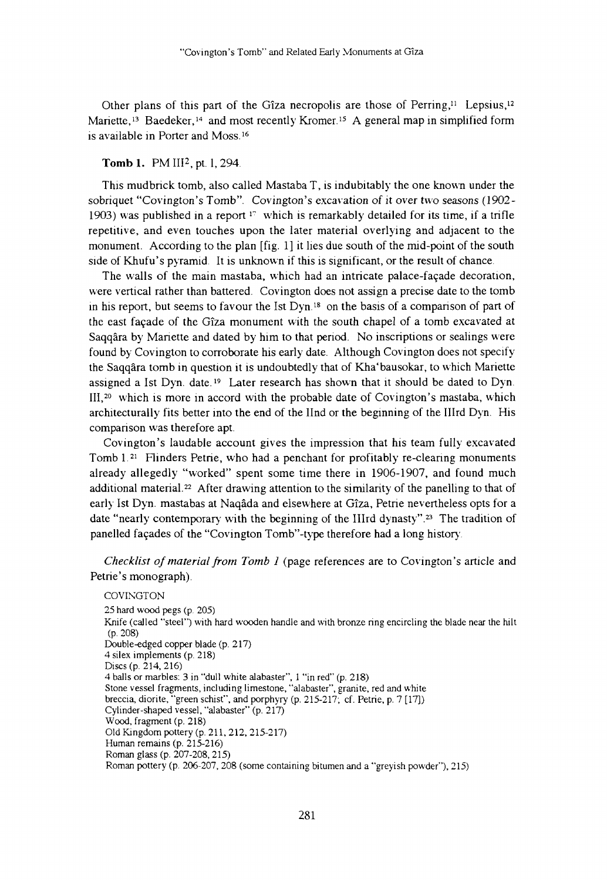Other plans of this part of the Gîza necropolis are those of Perring,<sup>11</sup> Lepsius,<sup>12</sup> Mariette,<sup>13</sup> Baedeker,<sup>14</sup> and most recently Kromer.<sup>15</sup> A general map in simplified form is available in Porter and Moss.16

#### **Tomb 1**. PM IIP, pt. 1, 294.

This mudbrick tomb, also called Mastaba  $T$ , is indubitably the one known under the sobriquet "Covington's Tomb". Covington's excavation of it over two seasons (1902- 1903) was published in a report  $17$  which is remarkably detailed for its time, if a trifle repetitive, and even touches upon the later material overlying and adjacent to the monument. According to the plan [fig. 1] it lies due south of the mid-point of the south side of Khufu's pyramid. It is unknown if this is significant, or the result of chance.

The walls of the main mastaba, which had an intricate palace-façade decoration, were vertical rather than battered. Covington does not assign a precise date to the tomb in his report, but seems to favour the Ist  $Dyn<sup>18</sup>$  on the basis of a comparison of part of the east façade of the Gîza monument with the south chapel of a tomb excavated at Saqqâra by Manette and dated by him to that period. No inscriptions or sealings were found by Covington to corroborate his early date. Although Covington does not specify the Saqqâra tomb in question it is undoubtedly that of Kha'bausokar, to which Manette assigned a Ist Dyn. date.<sup>19</sup> Later research has shown that it should be dated to Dyn. III,<sup>20</sup> which is more in accord with the probable date of Covington's mastaba, which architecturally fits better into the end of the IInd or the beginning of the IIIrd Dyn. His comparison was therefore apt.

Covington's laudable account gives the impression that his team fully excavated Tomb l.21 Flinders Petrie, who had a penchant for profitably re-clearing monuments already allegedly "worked" spent some time there in 1906-1907, and found much additional material.22 After drawing attention to the similarity of the panelling to that of early Ist Dyn. mastabas at Naqâda and elsewhere at Gîza, Petrie nevertheless opts for a date "nearly contemporary with the beginning of the IIIrd dynasty".23 The tradition of panelled façades of the "Covington Tomb"-type therefore had a long history.

*Checklist of material from Tomb 1* (page references are to Covington's article and Petrie's monograph).

**COVINGTON 25 hard wood pegs (p. 205) Knife (called "steel") with hard wooden handle and with bronze ring encircling the blade near the hilt (p. 208) Double-edged copper blade (p. 217) 4 silex implements (p. 218) Discs (p. 214, 216) 4 balls or marbles: 3 in "dull white alabaster", 1 "in red" (p. 218) Stone vessel fragments, including limestone, "alabaster", granite, red and white breccia, diorite, "green schist", and porphyry (p. 215-217; cf. Petrie, p. 7 [17]) Cylinder-shaped vessel, "alabaster" (p. 217) Wood, fragment (p. 218) Old Kingdom pottery (p. 2 11, 212, 215-217) Human remains (p. 215-216) Roman glass (p. 207-208, 215) Roman pottery (p. 206-207, 208 (some containing bitumen and a "greyish powder"), 215)**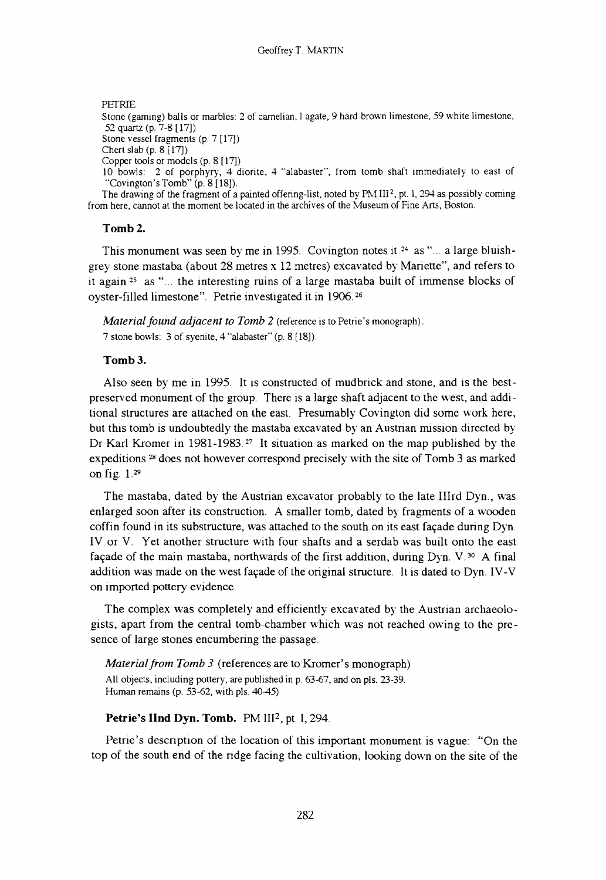**PETRIE**

**Stone (gaming) balls or marbles: 2 of carnelian, 1 agate, 9 hard brown limestone, 59 white limestone, 52 quartz (p. 7-8 [17]) Stone vessel fragments (p. 7 [17]) Chert slab (p. 8 [17]) Copper tools or models (p. 8 [17]) 10 bowls: 2 of porphyry, 4 diorite, 4 "alabaster", from tomb shaft immediately to east of "Covington's Tomb" (p. 8 [18]).** The drawing of the fragment of a painted offering-list, noted by PM III<sup>2</sup>, pt. 1, 294 as possibly coming **from here, cannot at the moment be located in the archives of the Museum of Fine Arts, Boston.**

#### **Tomb 2.**

This monument was seen by me in 1995. Covington notes it  $24$  as "... a large bluishgrey stone mastaba (about 28 metres x 12 metres) excavated by Manette", and refers to it again<sup>25</sup> as "... the interesting ruins of a large mastaba built of immense blocks of oyster-filled limestone". Petrie investigated it in 1906.26

*Material found adjacent to Tomb 2* **(reference is to Petrie's monograph). 7 stone bowls: 3 of syenite, 4 "alabaster" (p. 8 [18]).**

#### **Tomb 3.**

Also seen by me in 1995. It is constructed of mudbrick and stone, and is the bestpreserved monument of the group. There is a large shaft adjacent to the west, and additional structures are attached on the east. Presumably Covington did some work here, but this tomb is undoubtedly the mastaba excavated by an Austrian mission directed by Dr Karl Kromer in 1981-1983.<sup>27</sup> It situation as marked on the map published by the expeditions 28 does not however correspond precisely with the site of Tomb 3 as marked on fig. 1.29

The mastaba, dated by the Austrian excavator probably to the late IIIrd Dyn., was enlarged soon after its construction. A smaller tomb, dated by fragments of a wooden coffin found in its substructure, was attached to the south on its east façade during Dyn. IV or V. Yet another structure with four shafts and a serdab was built onto the east façade of the main mastaba, northwards of the first addition, during Dyn. V.30 A final addition was made on the west façade of the original structure. It is dated to Dyn. IV-V on imported pottery evidence.

The complex was completely and efficiently excavated by the Austrian archaeologists, apart from the central tomb-chamber which was not reached owing to the presence of large stones encumbering the passage.

*Material from Tomb 3* (references are to Kromer's monograph) **All objects, including pottery, are published in p. 63-67, and on pls. 23-39. Human remains (p. 53-62, with pls. 40-45)**

#### Petrie's IInd Dyn. Tomb. PM III<sup>2</sup>, pt. 1, 294.

Petrie's description of the location of this important monument is vague: "On the top of the south end of the ridge facing the cultivation, looking down on the site of the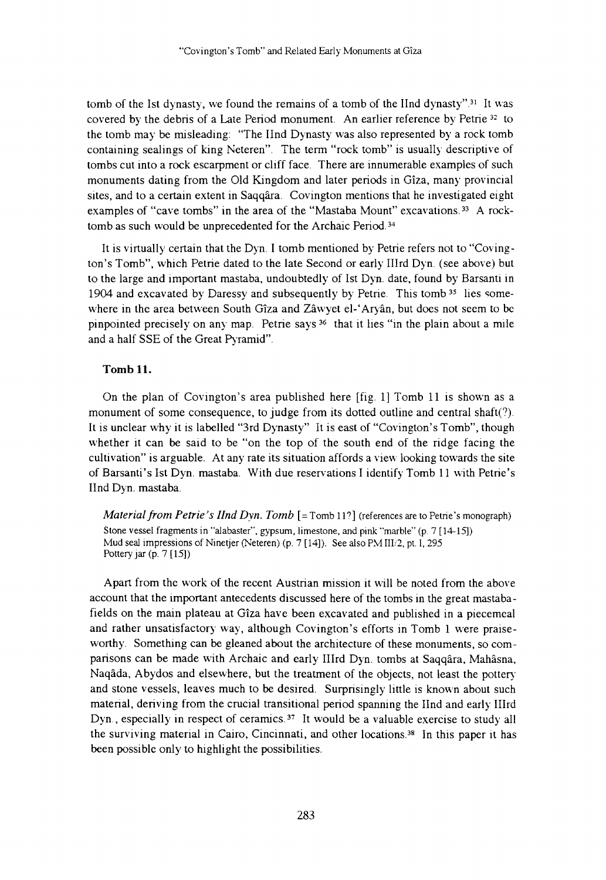tomb of the Ist dynasty, we found the remains of a tomb of the IInd dynasty".31 It was covered by the debris of a Late Period monument. An earlier reference by Petrie 32 to the tomb may be misleading: "The Und Dynasty was also represented by a rock tomb containing sealings of king Neteren". The term "rock tomb" is usually descriptive of tombs cut into a rock escarpment or cliff face. There are innumerable examples of such monuments dating from the Old Kingdom and later periods in Gîza, many provincial sites, and to a certain extent in Saqqâra. Covington mentions that he investigated eight examples of "cave tombs" in the area of the "Mastaba Mount" excavations.<sup>33</sup> A rocktomb as such would be unprecedented for the Archaic Period.<sup>34</sup>

It is virtually certain that the Dyn. I tomb mentioned by Petrie refers not to "Covington's Tomb", which Petrie dated to the late Second or early IIIrd Dyn. (see above) but to the large and important mastaba, undoubtedly of Ist Dyn. date, found by Barsanti in 1904 and excavated by Daressy and subsequently by Petrie. This tomb <sup>35</sup> lies somewhere in the area between South Gîza and Zâwyet el-'Aryân, but does not seem to be pinpointed precisely on any map. Petrie says 36 that it lies "in the plain about a mile and a half SSE of the Great Pyramid".

#### **Tomb 11.**

On the plan of Covington's area published here [fig. 1] Tomb 11 is shown as a monument of some consequence, to judge from its dotted outline and central shaft(?). It is unclear why it is labelled "3rd Dynasty" It is east of "Covington's Tomb", though whether it can be said to be "on the top of the south end of the ridge facing the cultivation" is arguable. At any rate its situation affords a view looking towards the site of Barsanti's Ist Dyn. mastaba. With due reservations I identify Tomb 11 with Petrie's IInd Dyn. mastaba.

*Material from Petrie's IInd Dyn. Tomb* [= **Tomb 11?] (references are to Petrie's monograph) Stone vessel fragments in "alabaster", gypsum, limestone, and pink "marble" (p. 7 [14-15]) Mud seal impressions of Ninetjer (Neteren) (p. 7 [14]). See also PM III/2, pt. 1, 295 Pottery jar (p. 7 [15])**

Apart from the work of the recent Austrian mission it will be noted from the above account that the important antecedents discussed here of the tombs in the great mastabafields on the main plateau at Gîza have been excavated and published in a piecemeal and rather unsatisfactory way, although Covington's efforts in Tomb 1 were praiseworthy. Something can be gleaned about the architecture of these monuments, so comparisons can be made with Archaic and early IIIrd Dyn. tombs at Saqqâra, Mahâsna, Naqâda, Abydos and elsewhere, but the treatment of the objects, not least the pottery and stone vessels, leaves much to be desired. Surprisingly little is known about such material, deriving from the crucial transitional period spanning the Und and early IIIrd Dyn., especially in respect of ceramics.<sup>37</sup> It would be a valuable exercise to study all the surviving material in Cairo, Cincinnati, and other locations.38 In this paper it has been possible only to highlight the possibilities.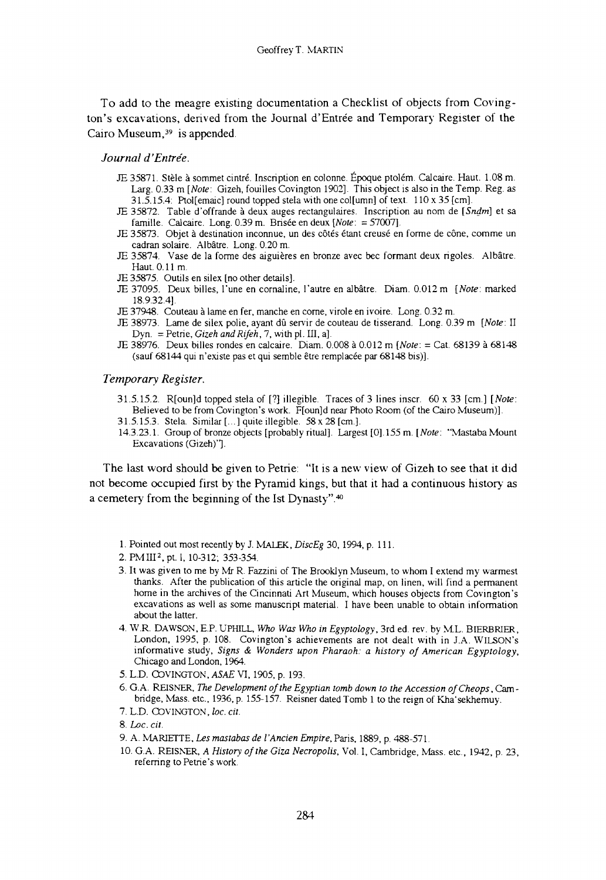**To add to the meagre existing documentation a Checklist of objects from Covington's excavations, derived from the Journal d'Entrée and Temporary Register of the Cairo Museum,39 is appended.**

#### *Journal d 'Entrée.*

- JE 35871. Stèle à sommet cintré. Inscription en colonne. Époque ptolém. Calcaire. Haut. 1.08 m . Larg. 0.33 m *[Note:* Gizeh, fouilles Covington 1902]. This object is also in the Temp. Reg. as 31.5.15.4: Ptoi[emaic] round topped stela with one col[umn] of text. 110 x 35 [cm],
- JE 35872. Table d'offrande à deux auges rectangulaires. Inscription au nom de *[Sndm]* et sa famille. Calcaire. Long. 0.39 m. Brisée en deux *[Note:* = 57007].
- JE 35873. Objet à destination inconnue, un des côtés étant creusé en forme de cône, comme un cadran solaire. Albâtre. Long. 0.20 m.
- JE 35874. Vase de la forme des aiguières en bronze avec bec formant deux rigoles. Albâtre. Haut. 0.11 m.
- JE 35875. Outils en silex [no other details],
- JE 37095. Deux billes, l'une en cornaline, l'autre en albâtre. Diam. 0.012 m *[Note:* marked 18.9.32.4].
- JE 37948. Couteau à lame en fer, manche en come, virole en ivoire. Long. 0.32 m.
- JE 38973. Lame de silex polie, ayant dû servir de couteau de tisserand. Long. 0.39 m *[Note:* II Dyn. = Petrie, *Gizeh and Rifeh,* 7, with pl. III, a].
- JE 38976. Deux billes rondes en calcaire. Diam. 0.008 à 0.012 m *[Note:* = Cat. 68139 à 68148 (sauf 68144 qui n'existe pas et qui semble être remplacée par 68148 bis)].

#### *Temporary Register.*

- 31.5.15.2. R[oun]d topped stela of [?] illegible. Traces of 3 lines inscr. 60 x 33 [cm ] *[Note:* Believed to be from Covington's work. F[oun]d near Photo Room (of the Cairo Museum)].
- 31.5.15.3. Stela. Similar  $[...]$  quite illegible. 58 x 28 [cm.].
- 14.3.23.1. Group of bronze objects [probably ritual]. Largest [0]. 155 m. *[Note:* "Mastaba Mount Excavations (Gizeh)"].

**The last word should be given to Petrie: "It is a new view of Gizeh to see that it did not become occupied first by the Pyramid kings, but that it had a continuous history as a cemetery from the beginning of the Ist Dynasty" 40**

- 1. Pointed out most recently by J. MALEK, *DiscEg* 30, 1994, p. 111.
- 2. PM III<sup>2</sup>, pt. 1, 10-312; 353-354.
- 3 . It was given to me by Mr R. Fazzini of The Brooklyn Museum, to whom I extend my warmest thanks. After the publication of this article the original map, on linen, will find a permanent home in the archives of the Cincinnati Art Museum, which houses objects from Covington's excavations as well as some manuscript material. I have been unable to obtain information about the latter.
- 4. W.R. DAWSON, E.P. UPHILL, Who Was Who in Egyptology, 3rd ed. rev. by M.L. BIERBRIER, London, 1995, p. 108. Covington's achievements are not dealt with in J.A. W ILSON'S informative study, Signs & Wonders upon Pharaoh: a history of American Egyptology, Chicago and London, 1964.
- 5. L.D. COVINGTON, *ASAE* VI, 1905, p. 193.
- 6. G.A. REISNER, *The Development of the Egyptian tomb down to the Accession of Cheops*, Cambridge, Mass. etc., 1936, p. 155-157. Reisner dated Tomb 1 to the reign of Kha'sekhemuy.
- 7. L.D. COVINGTON, l*oc. cit.*

- 9. A . MARIETTE, *Les mastabas de I'Ancien Empire,* Paris, 1889, p. 488-571.
- 10. G.A. REISNER, *A History of the Giza Necropolis*, Vol. I, Cambridge, Mass. etc., 1942, p. 23, referring to Petrie's work.

<sup>8.</sup> *Loc. cit.*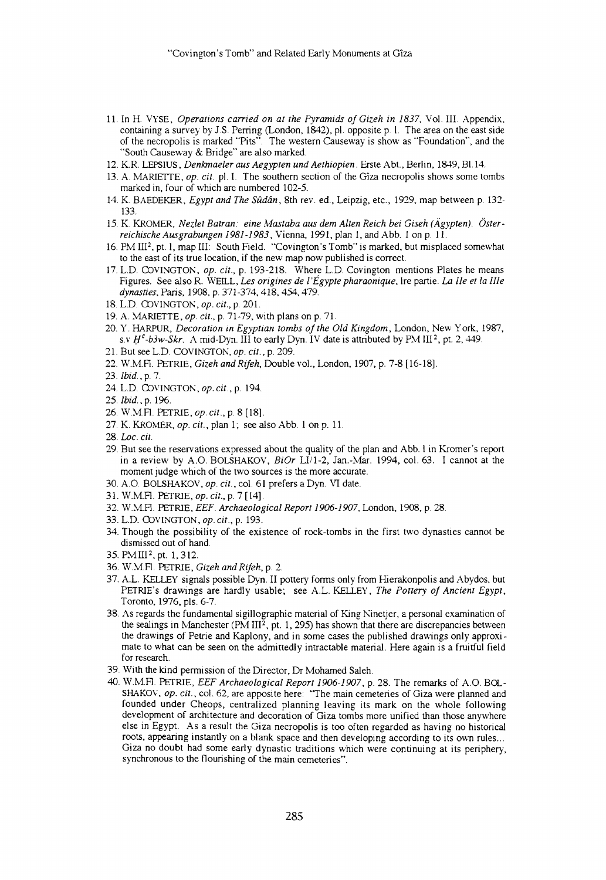- 11. In H. VYSE, *Operations carried on at the Pyramids of Gizeh in 1837,* Vol. III. Appendix, containing a survey by J.S. Perring (London, 1842), pl. opposite p. 1. The area on the east side of the necropolis is marked "Pits". The western Causeway is show as "Foundation", and the "South Causeway & Bridge" are also marked.
- 12. K.R. LEPSIUS, *Denkmaeler aus Aegypten und Aethiopien.* Erste Abt., Berlin, 1849, Bl. 14.
- 13. A. MARIETTE, *op. cit.* pl. I. The southern section of the Gîza necropolis shows some tombs marked in, four of which are numbered 102-5.
- 14. K. BAEDEKER, *Egypt and The Sûdân,* 8th rev. ed., Leipzig, etc., 1929, map between p. 132- 133.
- 15. K. KROMER, *Nezlet Batran: eine Mastaba aus dem Alten Reich bei Giseh (Ägypten). Österreichische Ausgrabungen 1981-1983,* Vienna, 1991, plan 1, and Abb. 1 on p. 11.
- 16. PM III2, pt. 1, map III: South Field. "Covington's Tomb" is marked, but misplaced somewhat to the east of its true location, if the new map now published is correct.
- 17. L.D. COVINGTON, *op. cit.,* p. 193-218. Where L.D. Covington mentions Plates he means Figures. See also R. WEILL, *Les origines de l 'Égypte pharaonique,* lre partie. *La IIe et la IIIe dynasties,* Paris, 1908, p. 371-374, 418, 454, 479.
- 18. L.D. COVINGTON, *op. cit.,* p. 201.
- 19. A. MARIETTE, *op. cit.,* p. 71-79, with plans on p. 71.
- 20. Y. HARPUR, *Decoration in Egyptian tombs of the Old Kingdom,* London, New York, 1987, s.v  $H^c$ -b3w-Skr. A mid-Dyn. III to early Dyn. IV date is attributed by PM III<sup>2</sup>, pt. 2, 449.
- 21. But see L.D. COVINGTON, *op. cit.,* p. 209.
- 22. W.M.F1. PETRIE, *Gizeh and Rifeh,* Double vol., London, 1907, p. 7-8 [16-18].
- 23. *Ibid., p.* 7.
- 24. L.D. COVINGTON, *op. cit.,* p. 194.
- 25. *Ibid., p.* 196.
- 26. W.M.Fl. PETRIE, *op. cit.,* p. 8 [18].
- 27. K. KROMER, *op. cit.,* plan 1; see also Abb. 1 on p. 11.
- 28. *Loc. cit.*
- 29. But see the reservations expressed about the quality of the plan and Abb. 1 in Kromer's report in a review by A.O. BOLSHAKOV, *BiOr* LI/1-2, Jan.-Mar. 1994, col. 63. I cannot at the moment judge which of the two sources is the more accurate.
- 30. A.O. BOLSHAKOV, *op. cit.,* col. 61 prefers a Dyn. VI date.
- 31. W.M.Fl. PETRIE, *op. cit.,* p. 7 [14].
- 32. W.MFl. PETRIE, *EEF. Archaeological Report 1906-1907,* London, 1908, p. 28.
- 33. L.D. COVINGTON, *op. cit.,* p. 193.
- 34. Though the possibility of the existence of rock-tombs in the first two dynasties cannot be dismissed out of hand.
- 35. PM III2, pt. 1,312.
- 36. W.MFl. PETRIE, *Gizeh and Rifeh,* p. 2.
- 37. A.L. KELLEY signals possible Dyn. II pottery forms only from Hierakonpolis and Abydos, but PETRIE's drawings are hardly usable; see A.L. KELLEY, *The Pottery of Ancient Egypt,*  Toronto, 1976, pls. 6-7.
- 38. As regards the fundamental sigillographic material of King Ninetjer, a personal examination of the sealings in Manchester (PM III<sup>2</sup>, pt. 1, 295) has shown that there are discrepancies between the drawings of Petrie and Kaplony, and in some cases the published drawings only approxi mate to what can be seen on the admittedly intractable material. Here again is a fruitful field for research.
- 39. With the kind permission of the Director, Dr Mohamed Saleh.
- 40. W.MFl. PETRIE, *EEF Archaeological Report 1906-1907,* p. 28. The remarks of A.O. BOL-SHAKOV, *op. cit.,* col. 62, are apposite here: 'The main cemeteries of Giza were planned and founded under Cheops, centralized planning leaving its mark on the whole following development of architecture and decoration of Giza tombs more unified than those anywhere else in Egypt. As a result the Giza necropolis is too often regarded as having no historical roots, appearing instantly on a blank space and then developing according to its own rules... Giza no doubt had some early dynastic traditions which were continuing at its periphery, synchronous to the flourishing of the main cemeteries".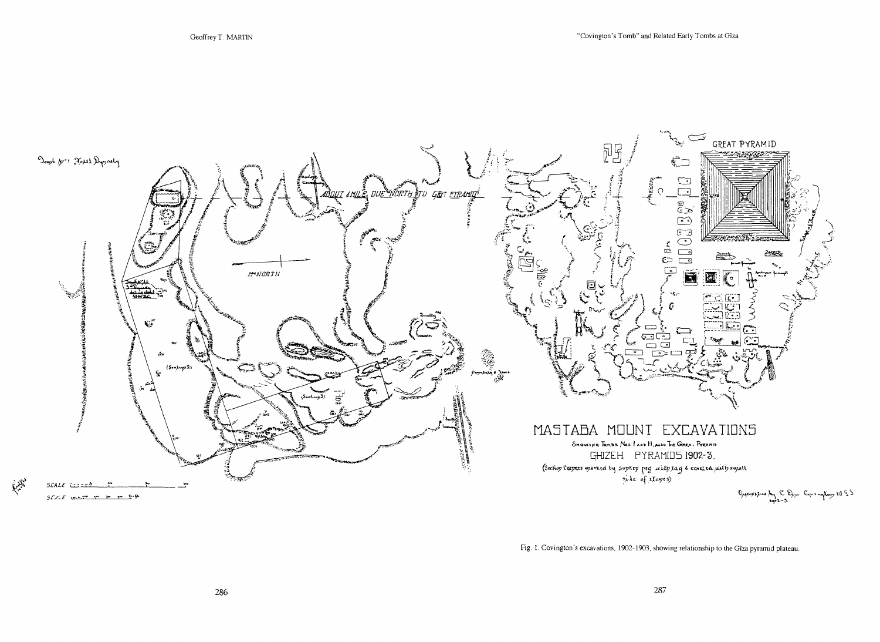

Fig. 1. Covington's excavations, 1902-1903, showing relationship to the Gîza pyramid plateau.

C. N.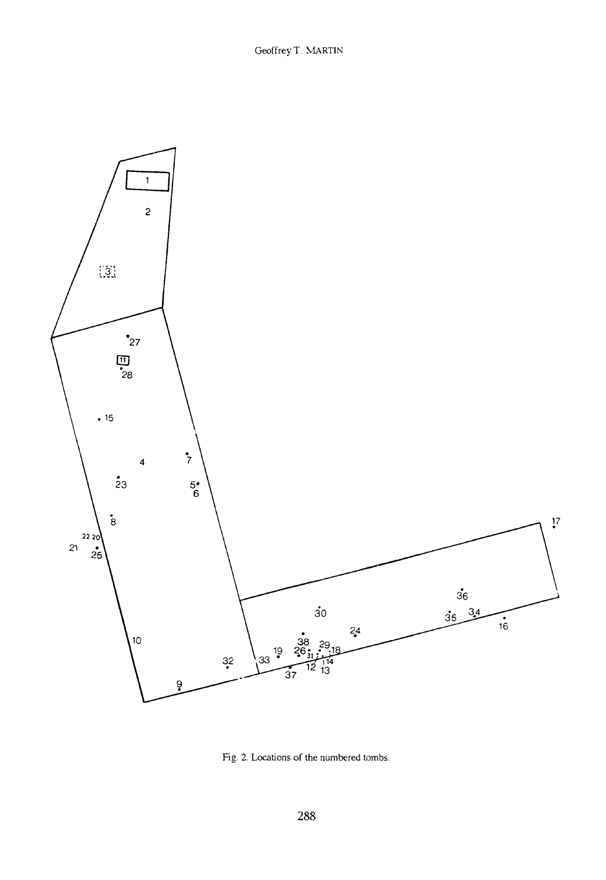

Fig. 2. Locations of the numbered tombs.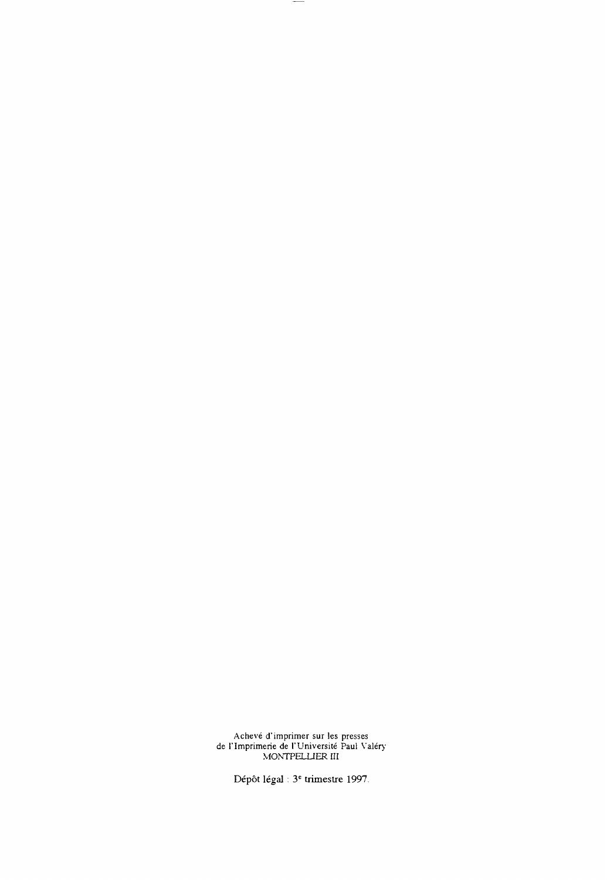Achevé d'imprimer sur les presses de l'Imprimerie de l'Université Paul Valéry MONTPELLIER III

 $-$ 

**Dépôt légal : 3e trimestre 1997.**